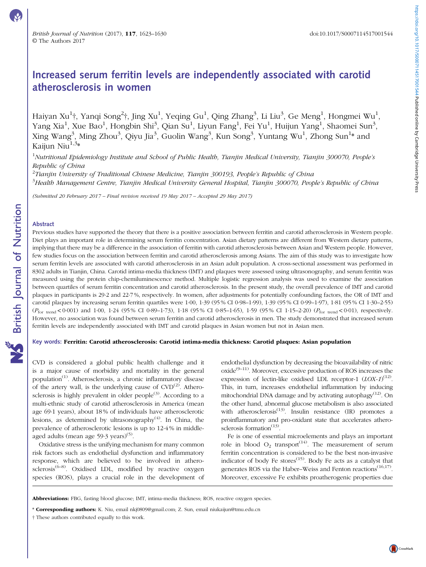# Increased serum ferritin levels are independently associated with carotid atherosclerosis in women

Haiyan Xu $^1$ †, Yanqi Song $^2$ †, Jing Xu $^1$ , Yeqing Gu $^1$ , Qing Zhang $^3$ , Li Liu $^3$ , Ge Meng $^1$ , Hongmei Wu $^1$ , Yang Xia<sup>1</sup>, Xue Bao<sup>1</sup>, Hongbin Shi<sup>3</sup>, Qian Su<sup>1</sup>, Liyun Fang<sup>1</sup>, Fei Yu<sup>1</sup>, Huijun Yang<sup>1</sup>, Shaomei Sun<sup>3</sup>, Xing Wang<sup>3</sup>, Ming Zhou<sup>3</sup>, Qiyu Jia<sup>3</sup>, Guolin Wang<sup>3</sup>, Kun Song<sup>3</sup>, Yuntang Wu<sup>1</sup>, Zhong Sun<sup>1</sup>\* and Kaijun Niu $1,3*$ 

<sup>1</sup>Nutritional Epidemiology Institute and School of Public Health, Tianjin Medical University, Tianjin 300070, People's Republic of China

 $^{2}$ Tianjin University of Traditional Chinese Medicine, Tianjin 300193, People's Republic of China

<sup>3</sup>Health Management Centre, Tianjin Medical University General Hospital, Tianjin 300070, People's Republic of China

(Submitted 20 February 2017 – Final revision received 19 May 2017 – Accepted 29 May 2017)

### Abstract

Previous studies have supported the theory that there is a positive association between ferritin and carotid atherosclerosis in Western people. Diet plays an important role in determining serum ferritin concentration. Asian dietary patterns are different from Western dietary patterns, implying that there may be a difference in the association of ferritin with carotid atherosclerosis between Asian and Western people. However, few studies focus on the association between ferritin and carotid atherosclerosis among Asians. The aim of this study was to investigate how serum ferritin levels are associated with carotid atherosclerosis in an Asian adult population. A cross-sectional assessment was performed in 8302 adults in Tianjin, China. Carotid intima-media thickness (IMT) and plaques were assessed using ultrasonography, and serum ferritin was measured using the protein chip-chemiluminescence method. Multiple logistic regression analysis was used to examine the association between quartiles of serum ferritin concentration and carotid atherosclerosis. In the present study, the overall prevalence of IMT and carotid plaques in participants is 29·2 and 22·7 %, respectively. In women, after adjustments for potentially confounding factors, the OR of IMT and carotid plaques by increasing serum ferritin quartiles were 1·00, 1·39 (95 % CI 0·98–1·99), 1·39 (95 % CI 0·99–1·97), 1·81 (95 % CI 1·30–2·55) ( $P_{\text{for trend}}$  < 0·001) and 1·00, 1·24 (95% CI 0·89-1·73), 1·18 (95% CI 0·85-1·65), 1·59 (95% CI 1·15-2·20) ( $P_{\text{for trend}}$  < 0·01), respectively. However, no association was found between serum ferritin and carotid atherosclerosis in men. The study demonstrated that increased serum ferritin levels are independently associated with IMT and carotid plaques in Asian women but not in Asian men.

# Key words: Ferritin: Carotid atherosclerosis: Carotid intima-media thickness: Carotid plaques: Asian population

CVD is considered a global public health challenge and it is a major cause of morbidity and mortality in the general population<sup>[\(1](#page-6-0))</sup>. Atherosclerosis, a chronic inflammatory disease of the artery wall, is the underlying cause of  $CVD^{(2)}$  $CVD^{(2)}$  $CVD^{(2)}$ . Athero-sclerosis is highly prevalent in older people<sup>[\(3\)](#page-6-0)</sup>. According to a multi-ethnic study of carotid atherosclerosis in America (mean age 69·1 years), about 18 % of individuals have atherosclerotic lesions, as determined by ultrasonography $(4)$ . In China, the prevalence of atherosclerotic lesions is up to 12·4 % in middleaged adults (mean age  $59.3$  years)<sup>([5\)](#page-6-0)</sup>.

Oxidative stress is the unifying mechanism for many common risk factors such as endothelial dysfunction and inflammatory response, which are believed to be involved in athero-sclerosis<sup>[\(6](#page-6-0)-[8](#page-6-0))</sup>. Oxidised LDL, modified by reactive oxygen species (ROS), plays a crucial role in the development of

endothelial dysfunction by decreasing the bioavailability of nitric  $\alpha$ xide $^{(9-11)}$  $^{(9-11)}$  $^{(9-11)}$  $^{(9-11)}$  $^{(9-11)}$ . Moreover, excessive production of ROS increases the expression of lectin-like oxidised LDL receptor-1  $(LOX-1)^{(12)}$  $(LOX-1)^{(12)}$  $(LOX-1)^{(12)}$ . This, in turn, increases endothelial inflammation by inducing mitochondrial DNA damage and by activating autophagy<sup>[\(12\)](#page-6-0)</sup>. On the other hand, abnormal glucose metabolism is also associated with atherosclerosis $^{(13)}$  $^{(13)}$  $^{(13)}$ . Insulin resistance (IR) promotes a proinflammatory and pro-oxidant state that accelerates atherosclerosis formation $(13)$ .

Fe is one of essential microelements and plays an important role in blood  $O_2$  transport<sup>([14](#page-6-0))</sup>. The measurement of serum ferritin concentration is considered to be the best non-invasive indicator of body Fe stores $(15)$  $(15)$ . Body Fe acts as a catalyst that generates ROS via the Haber–Weiss and Fenton reactions<sup> $(16,17)$  $(16,17)$ </sup>. Moreover, excessive Fe exhibits proatherogenic properties due

Abbreviations: FBG, fasting blood glucose; IMT, intima-media thickness; ROS, reactive oxygen species.

\* Corresponding authors: K. Niu, email [nkj0809@gmail.com;](mailto:nkj0809@gmail.com) Z. Sun, email [niukaijun@tmu.edu.cn](mailto:niukaijun@tmu.edu.cn)

† These authors contributed equally to this work.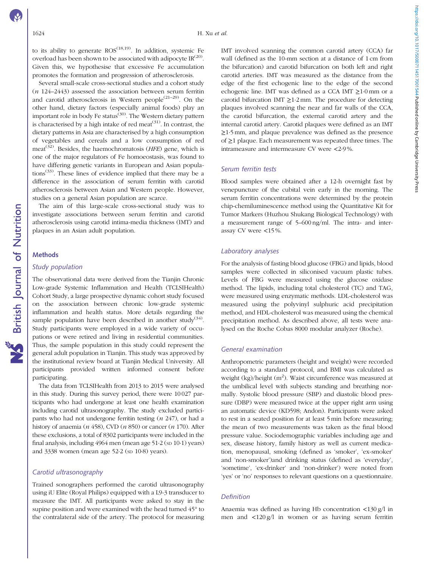to its ability to generate  $ROS^{(18,19)}$  $ROS^{(18,19)}$  $ROS^{(18,19)}$  $ROS^{(18,19)}$  $ROS^{(18,19)}$ . In addition, systemic Fe overload has been shown to be associated with adipocyte  $IR^{(20)}$  $IR^{(20)}$  $IR^{(20)}$ . Given this, we hypothesise that excessive Fe accumulation promotes the formation and progression of atherosclerosis.

Several small-scale cross-sectional studies and a cohort study  $(n 124-2443)$  assessed the association between serum ferritin and carotid atherosclerosis in Western people<sup> $(21-29)$  $(21-29)$  $(21-29)$ </sup>. On the other hand, dietary factors (especially animal foods) play an important role in body Fe status<sup>([30\)](#page-6-0)</sup>. The Western dietary pattern is characterised by a high intake of red meat<sup>[\(31\)](#page-6-0)</sup>. In contrast, the dietary patterns in Asia are characterised by a high consumption of vegetables and cereals and a low consumption of red meat<sup>[\(32\)](#page-6-0)</sup>. Besides, the haemochromatosis ( $HFE$ ) gene, which is one of the major regulators of Fe homoeostasis, was found to have differing genetic variants in European and Asian populations<sup> $(33)$  $(33)$ </sup>. These lines of evidence implied that there may be a difference in the association of serum ferritin with carotid atherosclerosis between Asian and Western people. However, studies on a general Asian population are scarce.

The aim of this large-scale cross-sectional study was to investigate associations between serum ferritin and carotid atherosclerosis using carotid intima-media thickness (IMT) and plaques in an Asian adult population.

# **Methods**

**NS** British Journal of Nutrition

# Study population

The observational data were derived from the Tianjin Chronic Low-grade Systemic Inflammation and Health (TCLSIHealth) Cohort Study, a large prospective dynamic cohort study focused on the association between chronic low-grade systemic inflammation and health status. More details regarding the sample population have been described in another study<sup>[\(34\)](#page-6-0)</sup>. Study participants were employed in a wide variety of occupations or were retired and living in residential communities. Thus, the sample population in this study could represent the general adult population in Tianjin. This study was approved by the institutional review board at Tianjin Medical University. All participants provided written informed consent before participating.

The data from TCLSIHealth from 2013 to 2015 were analysed in this study. During this survey period, there were 10 027 participants who had undergone at least one health examination including carotid ultrasonography. The study excluded participants who had not undergone ferritin testing  $(n 247)$ , or had a history of anaemia ( $n$  458), CVD ( $n$  850) or cancer ( $n$  170). After these exclusions, a total of 8302 participants were included in the final analysis, including  $4964$  men (mean age  $51.2$  (sp  $10.1$ ) years) and 3338 women (mean age 52·2 (SD 10·8) years).

# Carotid ultrasonography

Trained sonographers performed the carotid ultrasonography using iU Elite (Royal Philips) equipped with a L9-3 transducer to measure the IMT. All participants were asked to stay in the supine position and were examined with the head turned 45<sup>°</sup> to the contralateral side of the artery. The protocol for measuring

IMT involved scanning the common carotid artery (CCA) far wall (defined as the 10-mm section at a distance of 1 cm from the bifurcation) and carotid bifurcation on both left and right carotid arteries. IMT was measured as the distance from the edge of the first echogenic line to the edge of the second echogenic line. IMT was defined as a CCA IMT ≥1·0 mm or a carotid bifurcation IMT  $\geq$ 1.2 mm. The procedure for detecting plaques involved scanning the near and far walls of the CCA, the carotid bifurcation, the external carotid artery and the internal carotid artery. Carotid plaques were defined as an IMT ≥1·5 mm, and plaque prevalence was defined as the presence of ≥1 plaque. Each measurement was repeated three times. The intrameasure and intermeasure CV were <2·9 %.

# Serum ferritin tests

Blood samples were obtained after a 12-h overnight fast by venepuncture of the cubital vein early in the morning. The serum ferritin concentrations were determined by the protein chip-chemiluminescence method using the Quantitative Kit for Tumor Markers (Huzhou Shukang Biological Technology) with a measurement range of 5–600 ng/ml. The intra- and interassay CV were <15 %.

#### Laboratory analyses

For the analysis of fasting blood glucose (FBG) and lipids, blood samples were collected in siliconised vacuum plastic tubes. Levels of FBG were measured using the glucose oxidase method. The lipids, including total cholesterol (TC) and TAG, were measured using enzymatic methods. LDL-cholesterol was measured using the polyvinyl sulphuric acid precipitation method, and HDL-cholesterol was measured using the chemical precipitation method. As described above, all tests were analysed on the Roche Cobas 8000 modular analyzer (Roche).

### General examination

Anthropometric parameters (height and weight) were recorded according to a standard protocol, and BMI was calculated as weight (kg)/height (m<sup>2</sup>). Waist circumference was measured at the umbilical level with subjects standing and breathing normally. Systolic blood pressure (SBP) and diastolic blood pressure (DBP) were measured twice at the upper right arm using an automatic device (KD598; Andon). Participants were asked to rest in a seated position for at least 5 min before measuring; the mean of two measurements was taken as the final blood pressure value. Sociodemographic variables including age and sex, disease history, family history as well as current medication, menopausal, smoking (defined as 'smoker', 'ex-smoker' and 'non-smoker')and drinking status (defined as 'everyday', 'sometime', 'ex-drinker' and 'non-drinker') were noted from 'yes' or 'no' responses to relevant questions on a questionnaire.

#### **Definition**

Anaemia was defined as having Hb concentration <130 g/l in men and <120 g/l in women or as having serum ferritin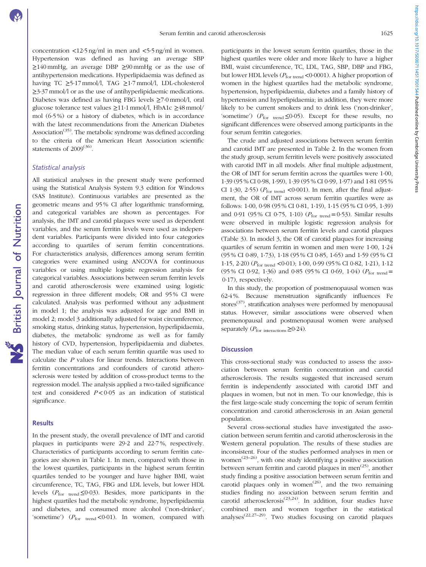concentration  $\langle 12.5 \text{ ng/ml} \rangle$  in men and  $\langle 5.5 \text{ ng/ml} \rangle$  in women. Hypertension was defined as having an average SBP  $\geq$ 140 mmHg, an average DBP  $\geq$ 90 mmHg or as the use of antihypertension medications. Hyperlipidaemia was defined as having TC  $\geq$ 5·17 mmol/l, TAG  $\geq$ 1·7 mmol/l, LDL-cholesterol ≥3·37 mmol/l or as the use of antihyperlipidaemic medications. Diabetes was defined as having FBG levels ≥7·0 mmol/l, oral glucose tolerance test values ≥11·1 mmol/l, HbA1c ≥48 mmol/ mol (6·5 %) or a history of diabetes, which is in accordance with the latest recommendations from the American Diabetes Association<sup> $(35)$  $(35)$  $(35)$ </sup>. The metabolic syndrome was defined according to the criteria of the American Heart Association scientific statements of 2009<sup>[\(36\)](#page-7-0)</sup>.

# Statistical analysis

All statistical analyses in the present study were performed using the Statistical Analysis System 9.3 edition for Windows (SAS Institute). Continuous variables are presented as the geometric means and 95 % CI after logarithmic transforming, and categorical variables are shown as percentages. For analysis, the IMT and carotid plaques were used as dependent variables, and the serum ferritin levels were used as independent variables. Participants were divided into four categories according to quartiles of serum ferritin concentrations. For characteristics analysis, differences among serum ferritin categories were examined using ANCOVA for continuous variables or using multiple logistic regression analysis for categorical variables. Associations between serum ferritin levels and carotid atherosclerosis were examined using logistic regression in three different models; OR and 95 % CI were calculated. Analysis was performed without any adjustment in model 1; the analysis was adjusted for age and BMI in model 2; model 3 additionally adjusted for waist circumference, smoking status, drinking status, hypertension, hyperlipidaemia, diabetes, the metabolic syndrome as well as for family history of CVD, hypertension, hyperlipidaemia and diabetes. The median value of each serum ferritin quartile was used to calculate the P values for linear trends. Interactions between ferritin concentrations and confounders of carotid atherosclerosis were tested by addition of cross-product terms to the regression model. The analysis applied a two-tailed significance test and considered  $P < 0.05$  as an indication of statistical significance.

### Results

In the present study, the overall prevalence of IMT and carotid plaques in participants were 29·2 and 22·7 %, respectively. Characteristics of participants according to serum ferritin categories are shown in [Table 1](#page-3-0). In men, compared with those in the lowest quartiles, participants in the highest serum ferritin quartiles tended to be younger and have higher BMI, waist circumference, TC, TAG, FBG and LDL levels, but lower HDL levels ( $P_{\text{for trend}} \leq 0.03$ ). Besides, more participants in the highest quartiles had the metabolic syndrome, hyperlipidaemia and diabetes, and consumed more alcohol ('non-drinker', 'sometime')  $(P_{\text{for trend}} < 0.01)$ . In women, compared with

participants in the lowest serum ferritin quartiles, those in the highest quartiles were older and more likely to have a higher BMI, waist circumference, TC, LDL, TAG, SBP, DBP and FBG, but lower HDL levels ( $P_{\text{for trend}}$  <0.0001). A higher proportion of women in the highest quartiles had the metabolic syndrome, hypertension, hyperlipidaemia, diabetes and a family history of hypertension and hyperlipidaemia; in addition, they were more likely to be current smokers and to drink less ('non-drinker', 'sometime') ( $P_{\text{for trend}} \leq 0.05$ ). Except for these results, no significant differences were observed among participants in the four serum ferritin categories.

The crude and adjusted associations between serum ferritin and carotid IMT are presented in [Table 2.](#page-4-0) In the women from the study group, serum ferritin levels were positively associated with carotid IMT in all models. After final multiple adjustment, the OR of IMT for serum ferritin across the quartiles were 1·00, 1·39 (95 % CI 0·98, 1·99), 1·39 (95 % CI 0·99, 1·97) and 1·81 (95 % CI 1.30, 2.55) ( $P_{\text{for trend}}$  <0.001). In men, after the final adjustment, the OR of IMT across serum ferritin quartiles were as follows: 1·00, 0·98 (95 % CI 0·81, 1·19), 1·15 (95 % CI 0·95, 1·39) and 0.91 (95% CI 0.75, 1.10) ( $P_{\text{for trend}} = 0.53$ ). Similar results were observed in multiple logistic regression analysis for associations between serum ferritin levels and carotid plaques [\(Table 3\)](#page-4-0). In model 3, the OR of carotid plaques for increasing quartiles of serum ferritin in women and men were 1·00, 1·24 (95 % CI 0·89, 1·73), 1·18 (95 % CI 0·85, 1·65) and 1·59 (95 % CI 1·15, 2·20) (Pfor trend <0·01); 1·00, 0·99 (95 % CI 0·82, 1·21), 1·12 (95% CI 0.92, 1.36) and 0.85 (95% CI 0.69, 1.04) ( $P_{\text{for trend}} =$ 0·17), respectively.

In this study, the proportion of postmenopausal women was 62·4 %. Because menstruation significantly influences Fe stores<sup> $(37)$ </sup>, stratification analyses were performed by menopausal status. However, similar associations were observed when premenopausal and postmenopausal women were analysed separately ( $P_{\text{for interactions}} \geq 0.24$ ).

# **Discussion**

This cross-sectional study was conducted to assess the association between serum ferritin concentration and carotid atherosclerosis. The results suggested that increased serum ferritin is independently associated with carotid IMT and plaques in women, but not in men. To our knowledge, this is the first large-scale study concerning the topic of serum ferritin concentration and carotid atherosclerosis in an Asian general population.

Several cross-sectional studies have investigated the association between serum ferritin and carotid atherosclerosis in the Western general population. The results of these studies are inconsistent. Four of the studies performed analyses in men or women<sup> $(23-26)$  $(23-26)$  $(23-26)$  $(23-26)$ </sup>, with one study identifying a positive association between serum ferritin and carotid plaques in men<sup>[\(25\)](#page-6-0)</sup>, another study finding a positive association between serum ferritin and carotid plaques only in women<sup> $(26)$  $(26)$  $(26)$ </sup>, and the two remaining studies finding no association between serum ferritin and carotid atherosclerosis<sup>[\(23](#page-6-0),[24](#page-6-0))</sup>. In addition, four studies have combined men and women together in the statistical analyses([22](#page-6-0),[27](#page-6-0)–[29\)](#page-6-0). Two studies focusing on carotid plaques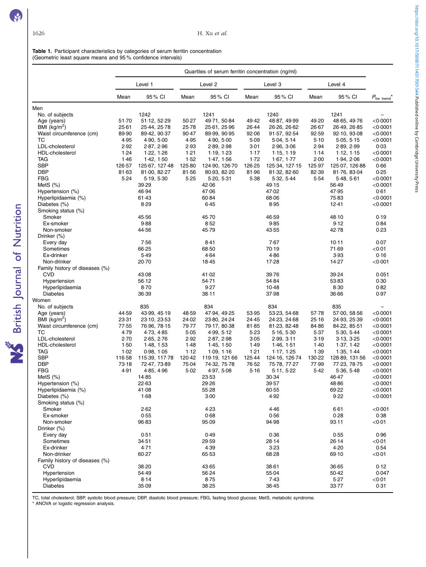**NS** British Journal of Nutrition

<span id="page-3-0"></span>Table 1. Participant characteristics by categories of serum ferritin concentration (Geometric least square means and 95 % confidence intervals)

|                                | Quartiles of serum ferritin concentration (ng/ml) |                |                    |                |        |                |         |                |                        |
|--------------------------------|---------------------------------------------------|----------------|--------------------|----------------|--------|----------------|---------|----------------|------------------------|
|                                | Level 1                                           |                | Level <sub>2</sub> |                |        | Level 3        | Level 4 |                |                        |
|                                | Mean                                              | 95 % CI        | Mean               | 95 % CI        | Mean   | 95% CI         | Mean    | 95 % CI        | $P_{\text{for trend}}$ |
| Men                            |                                                   |                |                    |                |        |                |         |                |                        |
| No. of subjects                |                                                   | 1242           |                    | 1241           |        | 1240           |         | 1241           |                        |
| Age (years)                    | 51.70                                             | 51.12, 52.29   | 50.27              | 49.71, 50.84   | 49.42  | 48.87, 49.99   | 49.20   | 48.65, 49.76   | < 0.0001               |
| BMI $(kg/m^2)$                 | 25.61                                             | 25.44, 25.78   | 25.78              | 25.61, 25.96   | 26.44  | 26.26, 26.62   | 26.67   | 26-49, 26-85   | $<$ 0 $\cdot$ 0001     |
| Waist circumference (cm)       | 89.90                                             | 89-42, 90-37   | 90.47              | 89.99, 90.95   | 92.06  | 91.57, 92.54   | 92.59   | 92.10, 93.08   | $<$ 0.0001             |
| ТC                             | 4.95                                              | 4.90, 5.00     | 4.95               | 4.90, 5.00     | 5.09   | 5.04, 5.14     | 5.10    | 5.05, 5.15     | $<$ 0 $\cdot$ 0001     |
| LDL-cholesterol                | 2.92                                              | 2.87, 2.96     | 2.93               | 2.89, 2.98     | 3.01   | 2.96, 3.06     | 2.94    | 2.89, 2.99     | 0.03                   |
| <b>HDL-cholesterol</b>         | 1.24                                              | 1.22, 1.26     | 1.21               | 1.19, 1.23     | 1.17   | 1.15, 1.19     | 1.14    | 1.12, 1.15     | $<$ 0.0001             |
| TAG                            | 1.46                                              | 1.42, 1.50     | 1.52               | 1.47, 1.56     | 1.72   | 1.67, 1.77     | 2.00    | 1.94, 2.06     | < 0.0001               |
| <b>SBP</b>                     | 126.57                                            | 125-67, 127-48 | 125.80             | 124.90, 126.70 | 126-25 | 125 34, 127 15 | 125.97  | 125.07, 126.88 | 0.66                   |
| <b>DBP</b>                     | 81.63                                             | 81.00, 82.27   | 81.56              | 80.93, 82.20   | 81.96  | 81.32, 82.60   | 82.39   | 81.76, 83.04   | 0.25                   |
| <b>FBG</b>                     | 5.24                                              | 5.19, 5.30     | $5-25$             | 5.20, 5.31     | 5.38   | 5.32, 5.44     | 5.54    | 5 48, 5 61     | < 0.0001               |
| MetS $(\%)$                    |                                                   | 39.29          |                    | 42.06          |        | 49.15          |         | 56.49          | < 0.0001               |
| Hypertension (%)               |                                                   | 46.94          |                    | 47.06          |        | 47.02          |         | 47.95          | 0.61                   |
| Hyperlipidaemia (%)            |                                                   | 61.43          |                    | 60.84          |        | 68.06          |         | 75.83          | $<$ 0.0001             |
| Diabetes (%)                   |                                                   | 8.29           |                    | 6.45           |        | 8.95           |         | 12.41          | < 0.0001               |
| Smoking status (%)             |                                                   |                |                    |                |        |                |         |                |                        |
| Smoker                         |                                                   | 45.56          |                    | 45.70          |        | 46.59          |         | 48.10          | 0.19                   |
| Ex-smoker                      |                                                   | 9.88           |                    | 8.52           |        | 9.85           |         | 9.12           | 0.84                   |
| Non-smoker                     |                                                   | 44.56          |                    | 45.79          |        | 43.55          |         | 42.78          | 0.23                   |
| Drinker (%)                    |                                                   |                |                    |                |        |                |         |                |                        |
| Every day                      |                                                   | 7.56           |                    | 8.41           |        | 7.67           |         | $10-11$        | 0.07                   |
| Sometimes                      |                                                   | 66.25          |                    | 68.50          |        | 70.19          |         | 71.69          | < 0.01                 |
| Ex-drinker                     |                                                   | 5.49           |                    | 4.64           |        | 4.86           |         | 3.93           | 0.16                   |
| Non-drinker                    |                                                   | 20.70          |                    | 18.45          |        | 17.28          |         | 14.27          | < 0.001                |
| Family history of diseases (%) |                                                   |                |                    |                |        |                |         |                |                        |
| <b>CVD</b>                     |                                                   | 43.08          |                    | 41.02          |        | 39.76          |         | 39.24          | 0.051                  |
| Hypertension                   |                                                   | 56.12          |                    | 54.71          |        | 54.84          |         | 53-83          | 0.30                   |
| Hyperlipidaemia                |                                                   | 8.70           |                    | 9.27           |        | 10.48          |         | $8-30$         | 0.82                   |
| <b>Diabetes</b>                |                                                   | 36.39          |                    | $38 - 11$      |        | 37.98          |         | 36.66          | 0.97                   |
| Women                          |                                                   |                |                    |                |        |                |         |                |                        |
| No. of subjects                |                                                   | 835            |                    | 834            |        | 834            |         | 835            |                        |
| Age (years)                    | 44.59                                             | 43.99, 45.19   | 48.59              | 47.94, 49.25   | 53.95  | 53-23, 54-68   | 57.78   | 57.00, 58.56   | $<$ 0.0001             |
| BMI (kg/m <sup>2</sup> )       | 23.31                                             | 23-10, 23-53   | 24.02              | 23.80, 24.24   | 24.45  | 24-23, 24-68   | 25.16   | 24.93, 25.39   | < 0.0001               |
| Waist circumference (cm)       | 77.55                                             | 76.96, 78.15   | 79.77              | 79.17, 80.38   | 81.85  | 81-23, 82-48   | 84.86   | 84-22, 85-51   | < 0.0001               |
| ТC                             | 4.79                                              | 4.73, 4.85     | 5.05               | 4.99, 5.12     | $5-23$ | 5.16, 5.30     | 5.37    | 5.30, 5.44     | < 0.0001               |
| LDL-cholesterol                | 2.70                                              | 2.65, 2.76     | 2.92               | 2.87, 2.98     | $3-05$ | 2.99, 3.11     | 3.19    | 3.13, 3.25     | < 0.0001               |
| HDL-cholesterol                | 1.50                                              | 1.48, 1.53     | 1.48               | 1.45, 1.50     | 1.49   | 1.46, 1.51     | 1.40    | 1.37, 1.42     | < 0.0001               |
| TAG                            | 1.02                                              | 0.98, 1.05     | 1.12               | 1.09, 1.16     | 1.21   | 1.17, 1.25     | 1.39    | 1.35, 1.44     | < 0.0001               |
| <b>SBP</b>                     | 116-58                                            | 115-39, 117-78 | 120.42             | 119-19, 121-66 | 125.44 | 124 16, 126 74 | 130-22  | 128-89, 131-56 | < 0.0001               |
| DBP                            | 73.18                                             | 72-47, 73-89   | 75.04              | 74.32, 75.78   | 76.52  | 75.78, 77.27   | 77.99   | 77-23, 78-75   | $<$ 0.0001             |
| <b>FBG</b>                     | 4.91                                              | 4.85, 4.96     | 5.02               | 4.97, 5.08     | 5.16   | 5.11, 5.22     | 5.42    | 5.36, 5.48     | < 0.0001               |
| MetS (%)                       |                                                   | 14.85          |                    | 23.53          |        | 30.34          |         | 46.47          | $<$ 0.0001             |
| Hypertension (%)               |                                                   | 22.63          |                    | 29.26          |        | 39.57          |         | 48.86          | $<$ 0.0001             |
| Hyperlipidaemia (%)            |                                                   | 41.08          |                    | 55.28          |        | 60.55          |         | 69-22          | $<$ 0.0001             |
| Diabetes (%)                   |                                                   | 1.68           |                    | $3-00$         |        | 4.92           |         | 9.22           | < 0.0001               |
| Smoking status (%)             |                                                   |                |                    |                |        |                |         |                |                        |
| Smoker                         |                                                   | 2.62           |                    | 4.23           |        | 4.46           |         | 6.61           | < 0.001                |
| Ex-smoker                      |                                                   | 0.55           |                    | 0.68           |        | 0.56           |         | 0.28           | 0.38                   |
| Non-smoker                     |                                                   | 96.83          |                    | 95.09          |        | 94.98          |         | 93-11          | < 0.01                 |
| Drinker (%)                    |                                                   |                |                    |                |        |                |         |                |                        |
| Every day                      |                                                   | 0.51           |                    | 0.49           |        | 0.36           |         | 0.55           | 0.96                   |
| Sometimes                      |                                                   | 34.51          |                    | 29.59          |        | 28.14          |         | 26.14          | < 0.01                 |
| Ex-drinker                     |                                                   | 4.71           |                    | 4.39           |        | 3.23           |         | 4.20           | 0.54                   |
| Non-drinker                    |                                                   | 60.27          |                    | 65.53          |        | 68.28          |         | 69.10          | < 0.01                 |
| Family history of diseases (%) |                                                   |                |                    |                |        |                |         |                |                        |
| <b>CVD</b>                     |                                                   | 38.20          |                    | 43.65          |        | $38 - 61$      |         | 36.65          | 0.12                   |
| Hypertension                   |                                                   | 54.49          |                    | 56-24          |        | 55.04          |         | 50.42          | 0.047                  |
| Hyperlipidaemia                |                                                   | 8.14           |                    | 8.75           |        | 7.43           |         | 5.27           | < 0.01                 |
| <b>Diabetes</b>                |                                                   | 35.09          |                    | 38.25          |        | 36.45          |         | 33.77          | 0.31                   |

TC, total cholesterol; SBP, systolic blood pressure; DBP, diastolic blood pressure; FBG, fasting blood glucose; MetS, metabolic syndrome.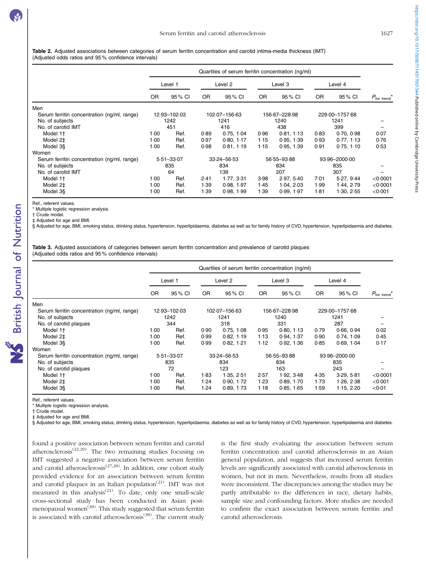<span id="page-4-0"></span>Table 2. Adjusted associations between categories of serum ferritin concentration and carotid intima-media thickness (IMT) (Adjusted odds ratios and 95 % confidence intervals)

|                                             | Quartiles of serum ferritin concentration (ng/ml) |         |               |            |                 |            |                |            |                        |
|---------------------------------------------|---------------------------------------------------|---------|---------------|------------|-----------------|------------|----------------|------------|------------------------|
|                                             | Level 1                                           |         | Level 2       |            | Level 3         |            | Level 4        |            |                        |
|                                             | 0R                                                | 95 % CI | OR.           | 95 % CI    | <b>OR</b>       | 95% CI     | OR.            | 95 % CI    | $P_{\text{for trend}}$ |
| Men                                         |                                                   |         |               |            |                 |            |                |            |                        |
| Serum ferritin concentration (ng/ml, range) | 12-93-102-03                                      |         | 102.07-156.63 |            | 156 67 - 228 98 |            | 229-00-1757-68 |            |                        |
| No. of subjects                             | 1242                                              |         | 1241          |            | 1240            |            | 1241           |            |                        |
| No. of carotid IMT                          |                                                   | 451     |               | 416        |                 | 438        |                | 399        |                        |
| Model 1 <sup>+</sup>                        | 1.00                                              | Ref.    | 0.89          | 0.75, 1.04 | 0.96            | 0.81, 1.13 | 0.83           | 0.70, 0.98 | 0.07                   |
| Model 2‡                                    | 1.00                                              | Ref.    | 0.97          | 0.80, 1.17 | 1.15            | 0.95, 1.39 | 0.93           | 0.77, 1.13 | 0.76                   |
| Model 3§                                    | 1.00                                              | Ref.    | 0.98          | 0.81, 1.19 | 1.15            | 0.95, 1.39 | 0.91           | 0.75.110   | 0.53                   |
| Women                                       |                                                   |         |               |            |                 |            |                |            |                        |
| Serum ferritin concentration (ng/ml, range) | $5.51 - 33.07$                                    |         | 33-24-56-53   |            | 56-55-93-88     |            | 93.96-2000.00  |            |                        |
| No. of subjects                             | 835                                               |         | 834           |            | 834             |            | 835            |            |                        |
| No. of carotid IMT                          |                                                   | 64      |               | 139        |                 | 207        |                | 307        |                        |
| Model 1 <sup>+</sup>                        | 1.00                                              | Ref.    | 2.41          | 1.77, 3.31 | 3.98            | 2.97, 5.40 | 7.01           | 5.27, 9.44 | < 0.0001               |
| Model 2‡                                    | 1.00                                              | Ref.    | 1.39          | 0.98, 1.97 | 1.45            | 1.04, 2.03 | 1.99           | 1.44, 2.79 | < 0.0001               |
| Model 3§                                    | 1.00                                              | Ref.    | 1.39          | 0.98, 1.99 | 1.39            | 0.99, 1.97 | $1-81$         | 1.30, 2.55 | < 0.001                |

Ref., referent values.

\* Multiple logistic regression analysis.

† Crude model.

‡ Adjusted for age and BMI.

§ Adjusted for age, BMI, smoking status, drinking status, hypertension, hyperlipidaemia, diabetes as well as for family history of CVD, hypertension, hyperlipidaemia and diabetes.

Table 3. Adjusted associations of categories between serum ferritin concentration and prevalence of carotid plaques (Adjusted odds ratios and 95 % confidence intervals)

|                                             | Quartiles of serum ferritin concentration (ng/ml) |         |               |            |               |            |                |            |                          |
|---------------------------------------------|---------------------------------------------------|---------|---------------|------------|---------------|------------|----------------|------------|--------------------------|
|                                             | Level 1                                           |         | Level 2       |            | Level 3       |            | Level 4        |            |                          |
|                                             | 0R                                                | 95 % CI | 0R            | 95 % CI    | <b>OR</b>     | 95% CI     | 0R             | 95 % CI    | $P_{\text{for trend}}^*$ |
| Men                                         |                                                   |         |               |            |               |            |                |            |                          |
| Serum ferritin concentration (ng/ml, range) | 12-93-102-03                                      |         | 102.07-156.63 |            | 156.67-228.98 |            | 229.00-1757.68 |            |                          |
| No. of subjects                             | 1242                                              |         | 1241          |            | 1240          |            | 1241           |            |                          |
| No. of carotid plaques                      |                                                   | 344     |               | 318        |               | 331        |                | 287        |                          |
| Model 1 <sup>+</sup>                        | 1.00                                              | Ref.    | 0.90          | 0.75, 1.08 | 0.95          | 0.80, 1.13 | 0.79           | 0.66, 0.94 | 0.02                     |
| Model 2‡                                    | 1.00                                              | Ref.    | 0.99          | 0.82, 1.19 | 1.13          | 0.94, 1.37 | 0.90           | 0.74, 1.09 | 0.45                     |
| Model 3§                                    | 1.00                                              | Ref.    | 0.99          | 0.82, 1.21 | 1.12          | 0.92, 1.36 | 0.85           | 0.69, 1.04 | 0.17                     |
| Women                                       |                                                   |         |               |            |               |            |                |            |                          |
| Serum ferritin concentration (ng/ml, range) | $5.51 - 33.07$                                    |         | 33-24-56-53   |            | 56-55-93-88   |            | 93.96-2000.00  |            |                          |
| No. of subjects                             | 835                                               |         | 834           |            | 834           |            | 835            |            |                          |
| No. of carotid plaques                      |                                                   | 72      |               | 123        |               | 163        |                | 243        |                          |
| Model 1 <sup>+</sup>                        | 1.00                                              | Ref.    | 1.83          | 1.35.2.51  | 2.57          | 1.92.348   | 4.35           | 3.29, 5.81 | < 0.0001                 |
| Model 2‡                                    | 1.00                                              | Ref.    | 1.24          | 0.90, 1.72 | 1.23          | 0.89, 1.70 | 1.73           | 1.26, 2.38 | < 0.001                  |
| Model 3§                                    | 1.00                                              | Ref.    | 1.24          | 0.89, 1.73 | 1.18          | 0.85, 1.65 | 1.59           | 1.15, 2.20 | < 0.01                   |

Ref., referent values.

\* Multiple logistic regression analysis.

† Crude model.

‡ Adjusted for age and BMI.

§ Adjusted for age, BMI, smoking status, drinking status, hypertension, hyperlipidaemia, diabetes as well as for family history of CVD, hypertension, hyperlipidaemia and diabetes.

found a positive association between serum ferritin and carotid atherosclerosis<sup>[\(22](#page-6-0),[29\)](#page-6-0)</sup>. The two remaining studies focusing on IMT suggested a negative association between serum ferritin and carotid atherosclerosis<sup> $(27,28)$  $(27,28)$  $(27,28)$ </sup>. In addition, one cohort study provided evidence for an association between serum ferritin and carotid plaques in an Italian population<sup>([21\)](#page-6-0)</sup>. IMT was not measured in this analysis<sup> $(21)$ </sup>. To date, only one small-scale cross-sectional study has been conducted in Asian post-menopausal women<sup>([38](#page-7-0))</sup>. This study suggested that serum ferritin is associated with carotid atherosclerosis<sup>([38\)](#page-7-0)</sup>. The current study

is the first study evaluating the association between serum ferritin concentration and carotid atherosclerosis in an Asian general population, and suggests that increased serum ferritin levels are significantly associated with carotid atherosclerosis in women, but not in men. Nevertheless, results from all studies were inconsistent. The discrepancies among the studies may be partly attributable to the differences in race, dietary habits, sample size and confounding factors. More studies are needed to confirm the exact association between serum ferritin and carotid atherosclerosis.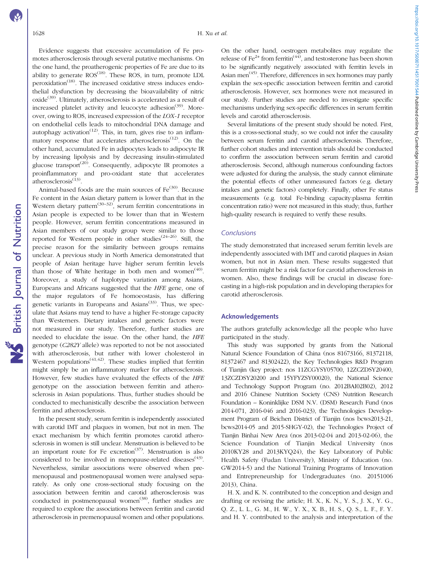**NS** British Journal of Nutrition

Evidence suggests that excessive accumulation of Fe promotes atherosclerosis through several putative mechanisms. On the one hand, the proatherogenic properties of Fe are due to its ability to generate  $ROS^{(18)}$  $ROS^{(18)}$  $ROS^{(18)}$ . These ROS, in turn, promote LDL peroxidation<sup>([18\)](#page-6-0)</sup>. The increased oxidative stress induces endothelial dysfunction by decreasing the bioavailability of nitric oxide<sup>([39\)](#page-7-0)</sup>. Ultimately, atherosclerosis is accelerated as a result of increased platelet activity and leucocyte adhesion<sup>([39\)](#page-7-0)</sup>. Moreover, owing to ROS, increased expression of the LOX-1 receptor on endothelial cells leads to mitochondrial DNA damage and autophagy activation<sup> $(12)$  $(12)$  $(12)$ </sup>. This, in turn, gives rise to an inflammatory response that accelerates atherosclerosis $(12)$ . On the other hand, accumulated Fe in adipocytes leads to adipocyte IR by increasing lipolysis and by decreasing insulin-stimulated glucose transport<sup> $(20)$  $(20)$ </sup>. Consequently, adipocyte IR promotes a proinflammatory and pro-oxidant state that accelerates atherosclerosis<sup>[\(13](#page-6-0))</sup>

Animal-based foods are the main sources of  $Fe<sup>(30)</sup>$  $Fe<sup>(30)</sup>$  $Fe<sup>(30)</sup>$ . Because Fe content in the Asian dietary pattern is lower than that in the Western dietary pattern<sup>([30](#page-6-0)–[32\)](#page-6-0)</sup>, serum ferritin concentrations in Asian people is expected to be lower than that in Western people. However, serum ferritin concentrations measured in Asian members of our study group were similar to those reported for Western people in other studies $(24-26)$  $(24-26)$  $(24-26)$  $(24-26)$  $(24-26)$ . Still, the precise reason for the similarity between groups remains unclear. A previous study in North America demonstrated that people of Asian heritage have higher serum ferritin levels than those of White heritage in both men and women<sup> $(40)$ </sup>. Moreover, a study of haplotype variation among Asians, Europeans and Africans suggested that the HFE gene, one of the major regulators of Fe homoeostasis, has differing genetic variants in Europeans and Asians<sup>([33\)](#page-6-0)</sup>. Thus, we speculate that Asians may tend to have a higher Fe-storage capacity than Westerners. Dietary intakes and genetic factors were not measured in our study. Therefore, further studies are needed to elucidate the issue. On the other hand, the HFE genotype (C282Y allele) was reported to not be not associated with atherosclerosis, but rather with lower cholesterol in Western populations<sup> $(41,42)$  $(41,42)$  $(41,42)$ </sup>. These studies implied that ferritin might simply be an inflammatory marker for atherosclerosis. However, few studies have evaluated the effects of the HFE genotype on the association between ferritin and atherosclerosis in Asian populations. Thus, further studies should be conducted to mechanistically describe the association between ferritin and atherosclerosis.

In the present study, serum ferritin is independently associated with carotid IMT and plaques in women, but not in men. The exact mechanism by which ferritin promotes carotid atherosclerosis in women is still unclear. Menstruation is believed to be an important route for Fe excretion<sup> $(37)$  $(37)$  $(37)$ </sup>. Menstruation is also considered to be involved in menopause-related diseases<sup> $(43)$ </sup>. Nevertheless, similar associations were observed when premenopausal and postmenopausal women were analysed separately. As only one cross-sectional study focusing on the association between ferritin and carotid atherosclerosis was conducted in postmenopausal women<sup>([38](#page-7-0))</sup>, further studies are required to explore the associations between ferritin and carotid atherosclerosis in premenopausal women and other populations.

On the other hand, oestrogen metabolites may regulate the release of Fe<sup>2+</sup> from ferritin<sup>[\(44\)](#page-7-0)</sup>, and testosterone has been shown to be significantly negatively associated with ferritin levels in Asian men $(45)$  $(45)$  $(45)$ . Therefore, differences in sex hormones may partly explain the sex-specific association between ferritin and carotid atherosclerosis. However, sex hormones were not measured in our study. Further studies are needed to investigate specific mechanisms underlying sex-specific differences in serum ferritin levels and carotid atherosclerosis.

Several limitations of the present study should be noted. First, this is a cross-sectional study, so we could not infer the causality between serum ferritin and carotid atherosclerosis. Therefore, further cohort studies and intervention trials should be conducted to confirm the association between serum ferritin and carotid atherosclerosis. Second, although numerous confounding factors were adjusted for during the analysis, the study cannot eliminate the potential effects of other unmeasured factors (e.g. dietary intakes and genetic factors) completely. Finally, other Fe status measurements (e.g. total Fe-binding capacity:plasma ferritin concentration ratio) were not measured in this study; thus, further high-quality research is required to verify these results.

# Conclusions

The study demonstrated that increased serum ferritin levels are independently associated with IMT and carotid plaques in Asian women, but not in Asian men. These results suggested that serum ferritin might be a risk factor for carotid atherosclerosis in women. Also, these findings will be crucial in disease forecasting in a high-risk population and in developing therapies for carotid atherosclerosis.

# Acknowledgements

The authors gratefully acknowledge all the people who have participated in the study.

This study was supported by grants from the National Natural Science Foundation of China (nos 81673166, 81372118, 81372467 and 81302422), the Key Technologies R&D Program of Tianjin (key project: nos 11ZCGYSY05700, 12ZCZDSY20400, 13ZCZDSY20200 and 15YFYZSY00020), the National Science and Technology Support Program (no. 2012BAI02B02), 2012 and 2016 Chinese Nutrition Society (CNS) Nutrition Research Foundation – Koninklijke DSM N.V. (DSM) Research Fund (nos 2014-071, 2016-046 and 2016-023), the Technologies Development Program of Beichen District of Tianjin (nos bcws2013-21, bcws2014-05 and 2015-SHGY-02), the Technologies Project of Tianjin Binhai New Area (nos 2013-02-04 and 2013-02-06), the Science Foundation of Tianjin Medical University (nos 2010KY28 and 2013KYQ24), the Key Laboratory of Public Health Safety (Fudan University), Ministry of Education (no. GW2014-5) and the National Training Programs of Innovation and Entrepreneurship for Undergraduates (no. 20151006 2013), China.

H. X. and K. N. contributed to the conception and design and drafting or revising the article; H. X., K. N., Y. S., J. X., Y. G., Q. Z., L. L., G. M., H. W., Y. X., X. B., H. S., Q. S., L. F., F. Y. and H. Y. contributed to the analysis and interpretation of the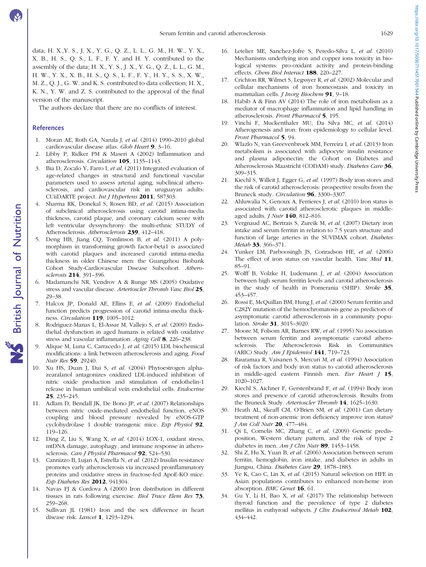<span id="page-6-0"></span>data; H. X.,Y. S., J. X., Y. G., Q. Z., L. L., G. M., H. W., Y. X., X. B., H. S., Q. S., L. F., F. Y. and H. Y. contributed to the assembly of the data; H. X., Y. S., J. X., Y. G., Q. Z., L. L., G. M., H. W., Y. X., X. B., H. S., Q. S., L. F., F. Y., H. Y., S. S., X. W., M. Z., Q. J., G. W. and K. S. contributed to data collection; H. X., K. N., Y. W. and Z. S. contributed to the approval of the final version of the manuscript.

The authors declare that there are no conflicts of interest.

# References

- 1. Moran AE, Roth GA, Narula J, et al. (2014) 1990–2010 global cardiovascular disease atlas. Glob Heart 9, 3–16.
- 2. Libby P, Ridker PM & Maseri A (2002) Inflammation and atherosclerosis. Circulation 105, 1135–1143.
- 3. Bia D, Zocalo Y, Farro I, et al. (2011) Integrated evaluation of age-related changes in structural and functional vascular parameters used to assess arterial aging, subclinical atherosclerosis, and cardiovascular risk in uruguayan adults: CUiiDARTE project. Int J Hypertens 2011, 587303.
- 4. Sharma RK, Donekal S, Rosen BD, et al. (2015) Association of subclinical atherosclerosis using carotid intima-media thickness, carotid plaque, and coronary calcium score with left ventricular dyssynchrony: the multi-ethnic STUDY of Atherosclerosis. Atherosclerosis 239, 412–418.
- 5. Deng HB, Jiang CQ, Tomlinson B, et al. (2011) A polymorphism in transforming growth factor-beta1 is associated with carotid plaques and increased carotid intima-media thickness in older Chinese men: the Guangzhou Biobank Cohort Study-Cardiovascular Disease Subcohort. Atherosclerosis 214, 391–396.
- 6. Madamanchi NR, Vendrov A & Runge MS (2005) Oxidative stress and vascular disease. Arterioscler Thromb Vasc Biol 25, 29–38.
- 7. Halcox JP, Donald AE, Ellins E, et al. (2009) Endothelial function predicts progression of carotid intima-media thickness. Circulation 119, 1005–1012.
- 8. Rodriguez-Manas L, El-Assar M, Vallejo S, et al. (2009) Endothelial dysfunction in aged humans is related with oxidative stress and vascular inflammation. Aging Cell 8, 226–238.
- 9. Alique M, Luna C, Carracedo J, et al. (2015) LDL biochemical modifications: a link between atherosclerosis and aging. Food Nutr Res 59, 29240.
- 10. Xu HS, Duan J, Dai S, et al. (2004) Phytoestrogen alphazearalanol antagonizes oxidized LDL-induced inhibition of nitric oxide production and stimulation of endothelin-1 release in human umbilical vein endothelial cells. Endocrine 25, 235–245.
- 11. Adlam D, Bendall JK, De Bono JP, et al. (2007) Relationships between nitric oxide-mediated endothelial function, eNOS coupling and blood pressure revealed by eNOS-GTP cyclohydrolase 1 double transgenic mice. Exp Physiol 92, 119–126.
- 12. Ding Z, Liu S, Wang X, et al. (2014) LOX-1, oxidant stress, mtDNA damage, autophagy, and immune response in atherosclerosis. Can J Physiol Pharmacol 92, 524-530.
- 13. Cannizzo B, Lujan A, Estrella N, et al. (2012) Insulin resistance promotes early atherosclerosis via increased proinflammatory proteins and oxidative stress in fructose-fed ApoE-KO mice. Exp Diabetes Res 2012, 941304.
- 14. Navas FJ & Cordova A (2000) Iron distribution in different tissues in rats following exercise. Biol Trace Elem Res 73, 259–268.
- 15. Sullivan JL (1981) Iron and the sex difference in heart disease risk. Lancet 1, 1293–1294.
- 16. Letelier ME, Sanchez-Jofre S, Peredo-Silva L, et al. (2010) Mechanisms underlying iron and copper ions toxicity in biological systems: pro-oxidant activity and protein-binding effects. Chem Biol Interact 188, 220–227.
- 17. Crichton RR, Wilmet S, Legssyer R, et al. (2002) Molecular and cellular mechanisms of iron homeostasis and toxicity in mammalian cells. *J Inorg Biochem* 91, 9-18.
- 18. Habib A & Finn AV (2014) The role of iron metabolism as a mediator of macrophage inflammation and lipid handling in atherosclerosis. Front Pharmacol 5, 195.
- 19. Vinchi F, Muckenthaler MU, Da Silva MC, et al. (2014) Atherogenesis and iron: from epidemiology to cellular level. Front Pharmacol 5, 94.
- 20. Wlazlo N, van Greevenbroek MM, Ferreira I, et al. (2013) Iron metabolism is associated with adipocyte insulin resistance and plasma adiponectin: the Cohort on Diabetes and Atherosclerosis Maastricht (CODAM) study. Diabetes Care 36, 309–315.
- 21. Kiechl S, Willeit J, Egger G, et al. (1997) Body iron stores and the risk of carotid atherosclerosis: prospective results from the Bruneck study. Circulation 96, 3300–3307.
- 22. Ahluwalia N, Genoux A, Ferrieres J, et al. (2010) Iron status is associated with carotid atherosclerotic plaques in middleaged adults. J Nutr 140, 812–816.
- 23. Vergnaud AC, Bertrais S, Zureik M, et al. (2007) Dietary iron intake and serum ferritin in relation to 7.5 years structure and function of large arteries in the SUVIMAX cohort. Diabetes Metab 33, 366-371.
- 24. Yunker LM, Parboosingh JS, Conradson HE, et al. (2006) The effect of iron status on vascular health. Vasc Med 11, 85–91.
- 25. Wolff B, Volzke H, Ludemann J, et al. (2004) Association between high serum ferritin levels and carotid atherosclerosis in the study of health in Pomerania (SHIP). Stroke 35, 453–457.
- 26. Rossi E, McQuillan BM, Hung J, et al. (2000) Serum ferritin and C282Y mutation of the hemochromatosis gene as predictors of asymptomatic carotid atherosclerosis in a community population. Stroke 31, 3015–3020.
- 27. Moore M, Folsom AR, Barnes RW, et al. (1995) No association between serum ferritin and asymptomatic carotid atherosclerosis. The Atherosclerosis Risk in Communities (ARIC) Study. Am J Epidemiol 141, 719–723.
- 28. Rauramaa R, Vaisanen S, Mercuri M, et al. (1994) Association of risk factors and body iron status to carotid atherosclerosis in middle-aged eastern Finnish men. Eur Heart J 15, 1020–1027.
- 29. Kiechl S, Aichner F, Gerstenbrand F, et al. (1994) Body iron stores and presence of carotid atherosclerosis. Results from the Bruneck Study. Arterioscler Thromb 14, 1625-1630.
- 30. Heath AL, Skeaff CM, O'Brien SM, et al. (2001) Can dietary treatment of non-anemic iron deficiency improve iron status? J Am Coll Nutr 20, 477–484.
- 31. Qi L, Cornelis MC, Zhang C, et al. (2009) Genetic predisposition, Western dietary pattern, and the risk of type 2 diabetes in men.  $Am J Clin Nutr$  89, 1453-1458.
- 32. Shi Z, Hu X, Yuan B, et al. (2006) Association between serum ferritin, hemoglobin, iron intake, and diabetes in adults in Jiangsu, China. Diabetes Care 29, 1878–1883.
- 33. Ye K, Cao C, Lin X, et al. (2015) Natural selection on HFE in Asian populations contributes to enhanced non-heme iron absorption. BMC Genet 16, 61.
- 34. Gu Y, Li H, Bao X, et al. (2017) The relationship between thyroid function and the prevalence of type 2 diabetes mellitus in euthyroid subjects. J Clin Endocrinol Metab 102, 434–442.